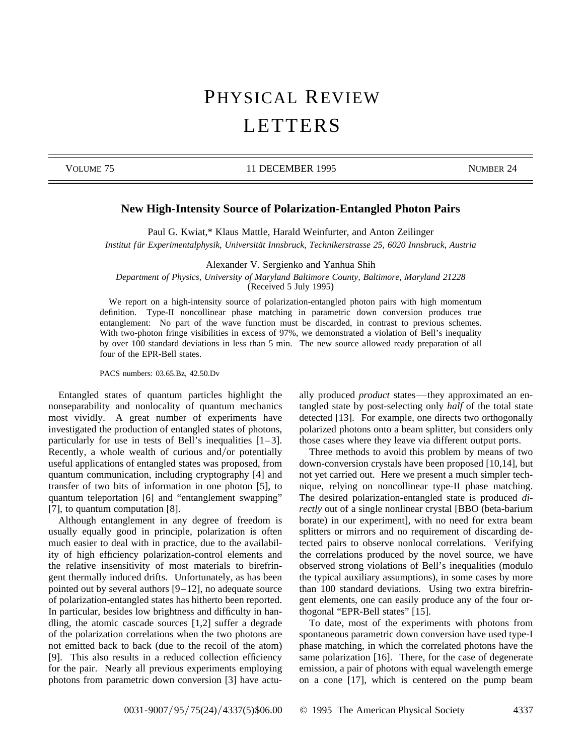## PHYSICAL REVIEW LETTERS

VOLUME 75 11 DECEMBER 1995 NUMBER 24

## **New High-Intensity Source of Polarization-Entangled Photon Pairs**

Paul G. Kwiat,\* Klaus Mattle, Harald Weinfurter, and Anton Zeilinger

*Institut f ür Experimentalphysik, Universität Innsbruck, Technikerstrasse 25, 6020 Innsbruck, Austria*

Alexander V. Sergienko and Yanhua Shih

*Department of Physics, University of Maryland Baltimore County, Baltimore, Maryland 21228* (Received 5 July 1995)

We report on a high-intensity source of polarization-entangled photon pairs with high momentum definition. Type-II noncollinear phase matching in parametric down conversion produces true entanglement: No part of the wave function must be discarded, in contrast to previous schemes. With two-photon fringe visibilities in excess of 97%, we demonstrated a violation of Bell's inequality by over 100 standard deviations in less than 5 min. The new source allowed ready preparation of all four of the EPR-Bell states.

PACS numbers: 03.65.Bz, 42.50.Dv

Entangled states of quantum particles highlight the nonseparability and nonlocality of quantum mechanics most vividly. A great number of experiments have investigated the production of entangled states of photons, particularly for use in tests of Bell's inequalities  $[1-3]$ . Recently, a whole wealth of curious and/or potentially useful applications of entangled states was proposed, from quantum communication, including cryptography [4] and transfer of two bits of information in one photon [5], to quantum teleportation [6] and "entanglement swapping" [7], to quantum computation [8].

Although entanglement in any degree of freedom is usually equally good in principle, polarization is often much easier to deal with in practice, due to the availability of high efficiency polarization-control elements and the relative insensitivity of most materials to birefringent thermally induced drifts. Unfortunately, as has been pointed out by several authors [9–12], no adequate source of polarization-entangled states has hitherto been reported. In particular, besides low brightness and difficulty in handling, the atomic cascade sources [1,2] suffer a degrade of the polarization correlations when the two photons are not emitted back to back (due to the recoil of the atom) [9]. This also results in a reduced collection efficiency for the pair. Nearly all previous experiments employing photons from parametric down conversion [3] have actually produced *product* states—they approximated an entangled state by post-selecting only *half* of the total state detected [13]. For example, one directs two orthogonally polarized photons onto a beam splitter, but considers only those cases where they leave via different output ports.

Three methods to avoid this problem by means of two down-conversion crystals have been proposed [10,14], but not yet carried out. Here we present a much simpler technique, relying on noncollinear type-II phase matching. The desired polarization-entangled state is produced *directly* out of a single nonlinear crystal [BBO (beta-barium borate) in our experiment], with no need for extra beam splitters or mirrors and no requirement of discarding detected pairs to observe nonlocal correlations. Verifying the correlations produced by the novel source, we have observed strong violations of Bell's inequalities (modulo the typical auxiliary assumptions), in some cases by more than 100 standard deviations. Using two extra birefringent elements, one can easily produce any of the four orthogonal "EPR-Bell states" [15].

To date, most of the experiments with photons from spontaneous parametric down conversion have used type-I phase matching, in which the correlated photons have the same polarization [16]. There, for the case of degenerate emission, a pair of photons with equal wavelength emerge on a cone [17], which is centered on the pump beam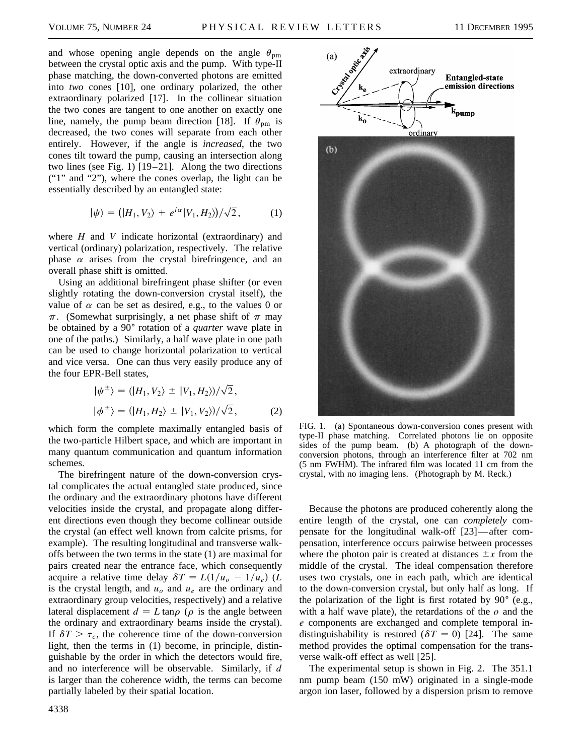and whose opening angle depends on the angle  $\theta_{\text{pm}}$ between the crystal optic axis and the pump. With type-II phase matching, the down-converted photons are emitted into *two* cones [10], one ordinary polarized, the other extraordinary polarized [17]. In the collinear situation the two cones are tangent to one another on exactly one line, namely, the pump beam direction [18]. If  $\theta_{\text{pm}}$  is decreased, the two cones will separate from each other entirely. However, if the angle is *increased*, the two cones tilt toward the pump, causing an intersection along two lines (see Fig. 1) [19–21]. Along the two directions ("1" and "2"), where the cones overlap, the light can be essentially described by an entangled state:

$$
|\psi\rangle = (|H_1, V_2\rangle + e^{i\alpha}|V_1, H_2\rangle)/\sqrt{2}, \qquad (1)
$$

where *H* and *V* indicate horizontal (extraordinary) and vertical (ordinary) polarization, respectively. The relative phase  $\alpha$  arises from the crystal birefringence, and an overall phase shift is omitted.

Using an additional birefringent phase shifter (or even slightly rotating the down-conversion crystal itself), the value of  $\alpha$  can be set as desired, e.g., to the values 0 or  $\pi$ . (Somewhat surprisingly, a net phase shift of  $\pi$  may be obtained by a 90° rotation of a *quarter* wave plate in one of the paths.) Similarly, a half wave plate in one path can be used to change horizontal polarization to vertical and vice versa. One can thus very easily produce any of the four EPR-Bell states,

$$
|\psi^{\pm}\rangle = (|H_1, V_2\rangle \pm |V_1, H_2\rangle)/\sqrt{2},
$$
  

$$
|\phi^{\pm}\rangle = (|H_1, H_2\rangle \pm |V_1, V_2\rangle)/\sqrt{2},
$$
 (2)

which form the complete maximally entangled basis of the two-particle Hilbert space, and which are important in many quantum communication and quantum information schemes.

The birefringent nature of the down-conversion crystal complicates the actual entangled state produced, since the ordinary and the extraordinary photons have different velocities inside the crystal, and propagate along different directions even though they become collinear outside the crystal (an effect well known from calcite prisms, for example). The resulting longitudinal and transverse walkoffs between the two terms in the state (1) are maximal for pairs created near the entrance face, which consequently acquire a relative time delay  $\delta T = L(1/u_0 - 1/u_e)$  (*L* is the crystal length, and  $u<sub>o</sub>$  and  $u<sub>e</sub>$  are the ordinary and extraordinary group velocities, respectively) and a relative lateral displacement  $d = L \tan \rho$  ( $\rho$  is the angle between the ordinary and extraordinary beams inside the crystal). If  $\delta T > \tau_c$ , the coherence time of the down-conversion light, then the terms in (1) become, in principle, distinguishable by the order in which the detectors would fire, and no interference will be observable. Similarly, if *d* is larger than the coherence width, the terms can become partially labeled by their spatial location.



FIG. 1. (a) Spontaneous down-conversion cones present with type-II phase matching. Correlated photons lie on opposite sides of the pump beam. (b) A photograph of the downconversion photons, through an interference filter at 702 nm (5 nm FWHM). The infrared film was located 11 cm from the crystal, with no imaging lens. (Photograph by M. Reck.)

Because the photons are produced coherently along the entire length of the crystal, one can *completely* compensate for the longitudinal walk-off [23]—after compensation, interference occurs pairwise between processes where the photon pair is created at distances  $\pm x$  from the middle of the crystal. The ideal compensation therefore uses two crystals, one in each path, which are identical to the down-conversion crystal, but only half as long. If the polarization of the light is first rotated by  $90^{\circ}$  (e.g., with a half wave plate), the retardations of the *o* and the *e* components are exchanged and complete temporal indistinguishability is restored ( $\delta T = 0$ ) [24]. The same method provides the optimal compensation for the transverse walk-off effect as well [25].

The experimental setup is shown in Fig. 2. The 351.1 nm pump beam (150 mW) originated in a single-mode argon ion laser, followed by a dispersion prism to remove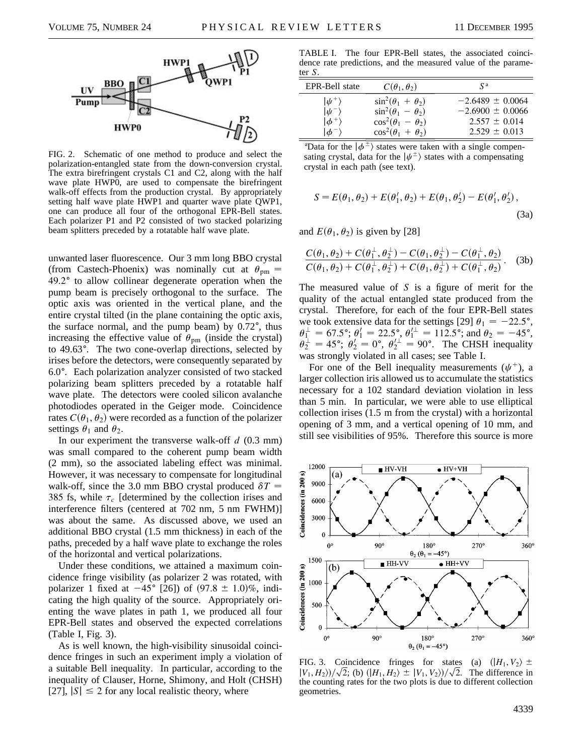

FIG. 2. Schematic of one method to produce and select the polarization-entangled state from the down-conversion crystal. The extra birefringent crystals C1 and C2, along with the half wave plate HWP0, are used to compensate the birefringent walk-off effects from the production crystal. By appropriately setting half wave plate HWP1 and quarter wave plate QWP1, one can produce all four of the orthogonal EPR-Bell states. Each polarizer P1 and P2 consisted of two stacked polarizing beam splitters preceded by a rotatable half wave plate.

unwanted laser fluorescence. Our 3 mm long BBO crystal (from Castech-Phoenix) was nominally cut at  $\theta_{\text{pm}} =$  $49.2^{\circ}$  to allow collinear degenerate operation when the pump beam is precisely orthogonal to the surface. The optic axis was oriented in the vertical plane, and the entire crystal tilted (in the plane containing the optic axis, the surface normal, and the pump beam) by  $0.72^{\circ}$ , thus increasing the effective value of  $\theta_{\text{pm}}$  (inside the crystal) to 49.63<sup>°</sup>. The two cone-overlap directions, selected by irises before the detectors, were consequently separated by 6.0°. Each polarization analyzer consisted of two stacked polarizing beam splitters preceded by a rotatable half wave plate. The detectors were cooled silicon avalanche photodiodes operated in the Geiger mode. Coincidence rates  $C(\theta_1, \theta_2)$  were recorded as a function of the polarizer settings  $\theta_1$  and  $\theta_2$ .

In our experiment the transverse walk-off *d* (0.3 mm) was small compared to the coherent pump beam width (2 mm), so the associated labeling effect was minimal. However, it was necessary to compensate for longitudinal walk-off, since the 3.0 mm BBO crystal produced  $\delta T =$ 385 fs, while  $\tau_c$  [determined by the collection irises and interference filters (centered at 702 nm, 5 nm FWHM)] was about the same. As discussed above, we used an additional BBO crystal (1.5 mm thickness) in each of the paths, preceded by a half wave plate to exchange the roles of the horizontal and vertical polarizations.

Under these conditions, we attained a maximum coincidence fringe visibility (as polarizer 2 was rotated, with polarizer 1 fixed at  $-45^{\circ}$  [26]) of  $(97.8 \pm 1.0)\%$ , indicating the high quality of the source. Appropriately orienting the wave plates in path 1, we produced all four EPR-Bell states and observed the expected correlations (Table I, Fig. 3).

As is well known, the high-visibility sinusoidal coincidence fringes in such an experiment imply a violation of a suitable Bell inequality. In particular, according to the inequality of Clauser, Horne, Shimony, and Holt (CHSH) [27],  $|S| \le 2$  for any local realistic theory, where

TABLE I. The four EPR-Bell states, the associated coincidence rate predictions, and the measured value of the parameter *S*.

| $C(\theta_1,\theta_2)$        | $S^a$                                                                                         |
|-------------------------------|-----------------------------------------------------------------------------------------------|
| $\sin^2(\theta_1 + \theta_2)$ | $-2.6489 \pm 0.0064$                                                                          |
|                               | $-2.6900 \pm 0.0066$<br>$2.557 \pm 0.014$                                                     |
|                               | $2.529 \pm 0.013$                                                                             |
|                               | $\sin^2(\theta_1-\theta_2)$<br>$\cos^2(\theta_1 - \theta_2)$<br>$\cos^2(\theta_1 + \theta_2)$ |

<sup>a</sup>Data for the  $|\phi^{\pm}\rangle$  states were taken with a single compensating crystal, data for the  $|\psi^{\pm}\rangle$  states with a compensating crystal in each path (see text).

$$
S = E(\theta_1, \theta_2) + E(\theta'_1, \theta_2) + E(\theta_1, \theta'_2) - E(\theta'_1, \theta'_2),
$$
\n(3a)

and  $E(\theta_1, \theta_2)$  is given by [28]

$$
\frac{C(\theta_1,\theta_2) + C(\theta_1^\perp,\theta_2^\perp) - C(\theta_1,\theta_2^\perp) - C(\theta_1^\perp,\theta_2)}{C(\theta_1,\theta_2) + C(\theta_1^\perp,\theta_2^\perp) + C(\theta_1,\theta_2^\perp) + C(\theta_1^\perp,\theta_2)}.
$$
 (3b)

The measured value of *S* is a figure of merit for the quality of the actual entangled state produced from the crystal. Therefore, for each of the four EPR-Bell states we took extensive data for the settings [29]  $\theta_1 = -22.5^{\circ}$ ,  $\theta_1^{\perp} = 67.5^{\circ}; \theta_1' = 22.5^{\circ}, \theta_1'^{\perp} = 112.5^{\circ}; \text{ and } \theta_2 = -45^{\circ},$  $\theta_2^{\perp} = 45^{\circ}$ ;  $\theta_2^{\prime} = 0^{\circ}$ ,  $\theta_2^{\prime \perp} = 90^{\circ}$ . The CHSH inequality was strongly violated in all cases; see Table I.

For one of the Bell inequality measurements  $(\psi^+)$ , a larger collection iris allowed us to accumulate the statistics necessary for a 102 standard deviation violation in less than 5 min. In particular, we were able to use elliptical collection irises (1.5 m from the crystal) with a horizontal opening of 3 mm, and a vertical opening of 10 mm, and still see visibilities of 95%. Therefore this source is more



FIG. 3. Coincidence fringes for states (a)  $(|H_1, V_2| \pm \sqrt{H_1 + K_2})$ FIG. 3. Coincidence fringes for states (a)  $(|H_1, V_2| \pm |V_1, H_2\rangle)/\sqrt{2}$ ; (b)  $(|H_1, H_2 \rangle \pm |V_1, V_2\rangle)/\sqrt{2}$ . The difference in the counting rates for the two plots is due to different collection geometries.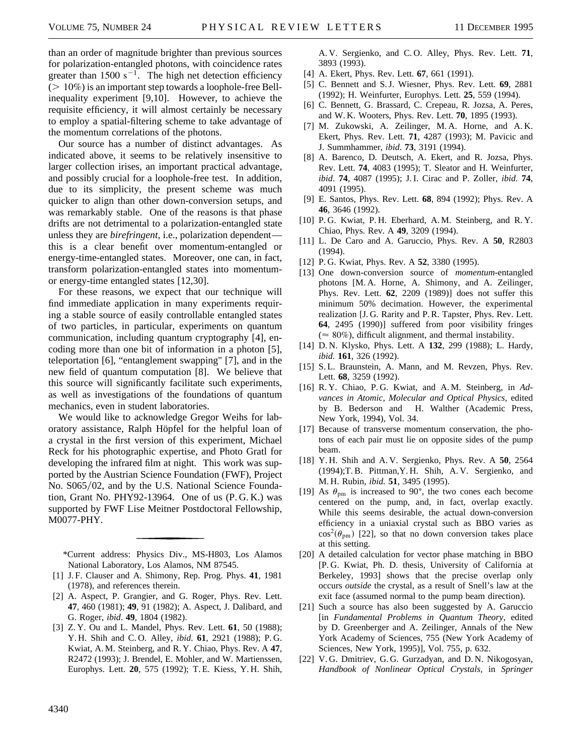than an order of magnitude brighter than previous sources for polarization-entangled photons, with coincidence rates greater than  $1500 \text{ s}^{-1}$ . The high net detection efficiency  $(10\%)$  is an important step towards a loophole-free Bellinequality experiment [9,10]. However, to achieve the requisite efficiency, it will almost certainly be necessary to employ a spatial-filtering scheme to take advantage of the momentum correlations of the photons.

Our source has a number of distinct advantages. As indicated above, it seems to be relatively insensitive to larger collection irises, an important practical advantage, and possibly crucial for a loophole-free test. In addition, due to its simplicity, the present scheme was much quicker to align than other down-conversion setups, and was remarkably stable. One of the reasons is that phase drifts are not detrimental to a polarization-entangled state unless they are *birefringent*, i.e., polarization dependent this is a clear benefit over momentum-entangled or energy-time-entangled states. Moreover, one can, in fact, transform polarization-entangled states into momentumor energy-time entangled states [12,30].

For these reasons, we expect that our technique will find immediate application in many experiments requiring a stable source of easily controllable entangled states of two particles, in particular, experiments on quantum communication, including quantum cryptography [4], encoding more than one bit of information in a photon [5], teleportation [6], "entanglement swapping" [7], and in the new field of quantum computation [8]. We believe that this source will significantly facilitate such experiments, as well as investigations of the foundations of quantum mechanics, even in student laboratories.

We would like to acknowledge Gregor Weihs for laboratory assistance, Ralph Höpfel for the helpful loan of a crystal in the first version of this experiment, Michael Reck for his photographic expertise, and Photo Gratl for developing the infrared film at night. This work was supported by the Austrian Science Foundation (FWF), Project No.  $S065/02$ , and by the U.S. National Science Foundation, Grant No. PHY92-13964. One of us (P. G. K.) was supported by FWF Lise Meitner Postdoctoral Fellowship, M0077-PHY.

\*Current address: Physics Div., MS-H803, Los Alamos National Laboratory, Los Alamos, NM 87545.

- [1] J. F. Clauser and A. Shimony, Rep. Prog. Phys. **41**, 1981 (1978), and references therein.
- [2] A. Aspect, P. Grangier, and G. Roger, Phys. Rev. Lett. **47**, 460 (1981); **49**, 91 (1982); A. Aspect, J. Dalibard, and G. Roger, *ibid*. **49**, 1804 (1982).
- [3] Z. Y. Ou and L. Mandel, Phys. Rev. Lett. **61**, 50 (1988); Y. H. Shih and C. O. Alley, *ibid*. **61**, 2921 (1988); P. G. Kwiat, A. M. Steinberg, and R. Y. Chiao, Phys. Rev. A **47**, R2472 (1993); J. Brendel, E. Mohler, and W. Martienssen, Europhys. Lett. **20**, 575 (1992); T. E. Kiess, Y. H. Shih,

A. V. Sergienko, and C. O. Alley, Phys. Rev. Lett. **71**, 3893 (1993).

- [4] A. Ekert, Phys. Rev. Lett. **67**, 661 (1991).
- [5] C. Bennett and S. J. Wiesner, Phys. Rev. Lett. **69**, 2881 (1992); H. Weinfurter, Europhys. Lett. **25**, 559 (1994).
- [6] C. Bennett, G. Brassard, C. Crepeau, R. Jozsa, A. Peres, and W. K. Wooters, Phys. Rev. Lett. **70**, 1895 (1993).
- [7] M. Zukowski, A. Zeilinger, M. A. Horne, and A. K. Ekert, Phys. Rev. Lett. **71**, 4287 (1993); M. Pavicic and J. Summhammer, *ibid*. **73**, 3191 (1994).
- [8] A. Barenco, D. Deutsch, A. Ekert, and R. Jozsa, Phys. Rev. Lett. **74**, 4083 (1995); T. Sleator and H. Weinfurter, *ibid*. **74**, 4087 (1995); J. I. Cirac and P. Zoller, *ibid*. **74**, 4091 (1995).
- [9] E. Santos, Phys. Rev. Lett. **68**, 894 (1992); Phys. Rev. A **46**, 3646 (1992).
- [10] P.G. Kwiat, P.H. Eberhard, A.M. Steinberg, and R.Y. Chiao, Phys. Rev. A **49**, 3209 (1994).
- [11] L. De Caro and A. Garuccio, Phys. Rev. A **50**, R2803 (1994).
- [12] P. G. Kwiat, Phys. Rev. A **52**, 3380 (1995).
- [13] One down-conversion source of *momentum*-entangled photons [M. A. Horne, A. Shimony, and A. Zeilinger, Phys. Rev. Lett. **62**, 2209 (1989)] does not suffer this minimum 50% decimation. However, the experimental realization [J. G. Rarity and P. R. Tapster, Phys. Rev. Lett. **64**, 2495 (1990)] suffered from poor visibility fringes  $(\approx 80\%)$ , difficult alignment, and thermal instability.
- [14] D. N. Klysko, Phys. Lett. A **132**, 299 (1988); L. Hardy, *ibid.* **161**, 326 (1992).
- [15] S.L. Braunstein, A. Mann, and M. Revzen, Phys. Rev. Lett. **68**, 3259 (1992).
- [16] R. Y. Chiao, P. G. Kwiat, and A. M. Steinberg, in *Advances in Atomic, Molecular and Optical Physics,* edited by B. Bederson and H. Walther (Academic Press, New York, 1994), Vol. 34.
- [17] Because of transverse momentum conservation, the photons of each pair must lie on opposite sides of the pump beam.
- [18] Y. H. Shih and A. V. Sergienko, Phys. Rev. A **50**, 2564 (1994);T. B. Pittman,Y. H. Shih, A. V. Sergienko, and M. H. Rubin, *ibid.* **51**, 3495 (1995).
- [19] As  $\theta_{\text{pm}}$  is increased to 90°, the two cones each become centered on the pump, and, in fact, overlap exactly. While this seems desirable, the actual down-conversion efficiency in a uniaxial crystal such as BBO varies as  $\cos^2(\theta_{nm})$  [22], so that no down conversion takes place at this setting.
- [20] A detailed calculation for vector phase matching in BBO [P. G. Kwiat, Ph. D. thesis, University of California at Berkeley, 1993] shows that the precise overlap only occurs *outside* the crystal, as a result of Snell's law at the exit face (assumed normal to the pump beam direction).
- [21] Such a source has also been suggested by A. Garuccio [in *Fundamental Problems in Quantum Theory,* edited by D. Greenberger and A. Zeilinger, Annals of the New York Academy of Sciences, 755 (New York Academy of Sciences, New York, 1995)], Vol. 755, p. 632.
- [22] V.G. Dmitriev, G.G. Gurzadyan, and D.N. Nikogosyan, *Handbook of Nonlinear Optical Crystals,* in *Springer*